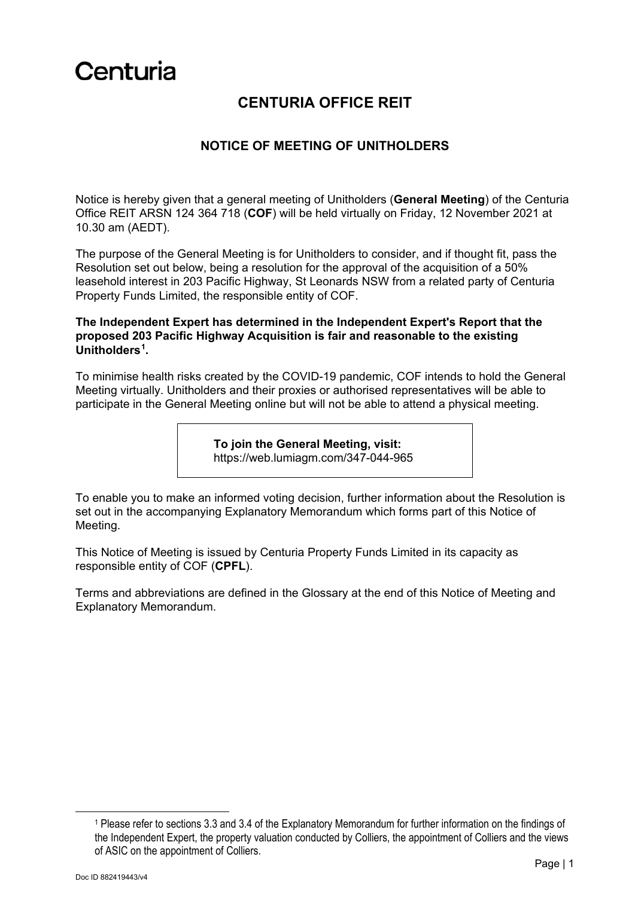# Centuria

### **CENTURIA OFFICE REIT**

#### **NOTICE OF MEETING OF UNITHOLDERS**

Notice is hereby given that a general meeting of Unitholders (**General Meeting**) of the Centuria Office REIT ARSN 124 364 718 (**COF**) will be held virtually on Friday, 12 November 2021 at 10.30 am (AEDT).

The purpose of the General Meeting is for Unitholders to consider, and if thought fit, pass the Resolution set out below, being a resolution for the approval of the acquisition of a 50% leasehold interest in 203 Pacific Highway, St Leonards NSW from a related party of Centuria Property Funds Limited, the responsible entity of COF.

#### **The Independent Expert has determined in the Independent Expert's Report that the proposed 203 Pacific Highway Acquisition is fair and reasonable to the existing Unitholders[1](#page-0-0) .**

To minimise health risks created by the COVID-19 pandemic, COF intends to hold the General Meeting virtually. Unitholders and their proxies or authorised representatives will be able to participate in the General Meeting online but will not be able to attend a physical meeting.

> **To join the General Meeting, visit:** [https://web.lumiagm.com/347-044-965](https://protect-au.mimecast.com/s/oYGBCL7r48SXRRP8UB4iPW?domain=web.lumiagm.com)

To enable you to make an informed voting decision, further information about the Resolution is set out in the accompanying Explanatory Memorandum which forms part of this Notice of Meeting.

This Notice of Meeting is issued by Centuria Property Funds Limited in its capacity as responsible entity of COF (**CPFL**).

Terms and abbreviations are defined in the Glossary at the end of this Notice of Meeting and Explanatory Memorandum.

<span id="page-0-0"></span><sup>1</sup> Please refer to sections [3.3](#page-10-0) and [3.4](#page-11-0) of the Explanatory Memorandum for further information on the findings of the Independent Expert, the property valuation conducted by Colliers, the appointment of Colliers and the views of ASIC on the appointment of Colliers.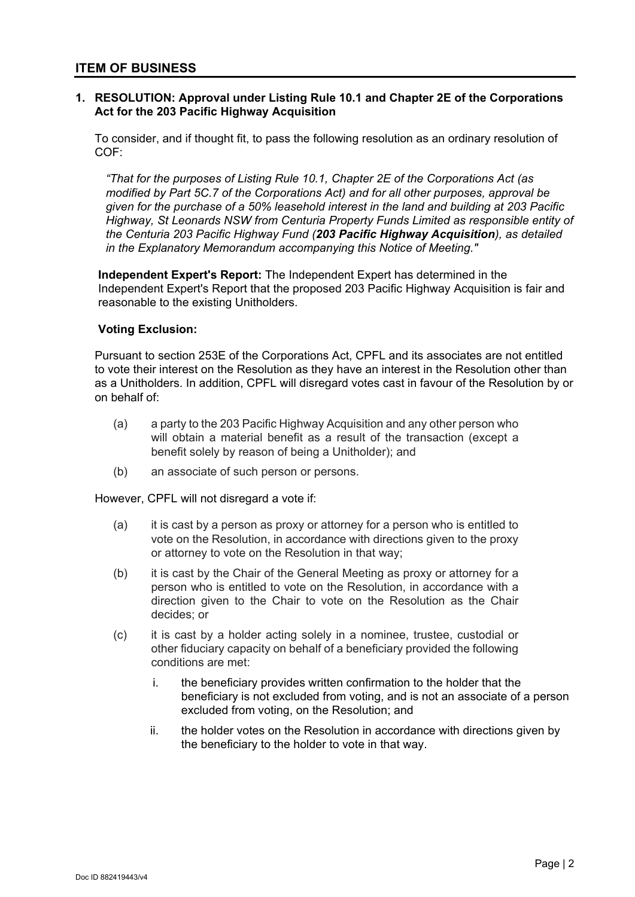#### <span id="page-1-0"></span>**1. RESOLUTION: Approval under Listing Rule 10.1 and Chapter 2E of the Corporations Act for the 203 Pacific Highway Acquisition**

To consider, and if thought fit, to pass the following resolution as an ordinary resolution of COF:

*"That for the purposes of Listing Rule 10.1, Chapter 2E of the Corporations Act (as modified by Part 5C.7 of the Corporations Act) and for all other purposes, approval be given for the purchase of a 50% leasehold interest in the land and building at 203 Pacific Highway, St Leonards NSW from Centuria Property Funds Limited as responsible entity of the Centuria 203 Pacific Highway Fund (203 Pacific Highway Acquisition), as detailed in the Explanatory Memorandum accompanying this Notice of Meeting."*

**Independent Expert's Report:** The Independent Expert has determined in the Independent Expert's Report that the proposed 203 Pacific Highway Acquisition is fair and reasonable to the existing Unitholders.

#### **Voting Exclusion:**

Pursuant to section 253E of the Corporations Act, CPFL and its associates are not entitled to vote their interest on the Resolution as they have an interest in the Resolution other than as a Unitholders. In addition, CPFL will disregard votes cast in favour of the Resolution by or on behalf of:

- (a) a party to the 203 Pacific Highway Acquisition and any other person who will obtain a material benefit as a result of the transaction (except a benefit solely by reason of being a Unitholder); and
- (b) an associate of such person or persons.

However, CPFL will not disregard a vote if:

- (a) it is cast by a person as proxy or attorney for a person who is entitled to vote on the Resolution, in accordance with directions given to the proxy or attorney to vote on the Resolution in that way;
- (b) it is cast by the Chair of the General Meeting as proxy or attorney for a person who is entitled to vote on the Resolution, in accordance with a direction given to the Chair to vote on the Resolution as the Chair decides; or
- (c) it is cast by a holder acting solely in a nominee, trustee, custodial or other fiduciary capacity on behalf of a beneficiary provided the following conditions are met:
	- i. the beneficiary provides written confirmation to the holder that the beneficiary is not excluded from voting, and is not an associate of a person excluded from voting, on the Resolution; and
	- ii. the holder votes on the Resolution in accordance with directions given by the beneficiary to the holder to vote in that way.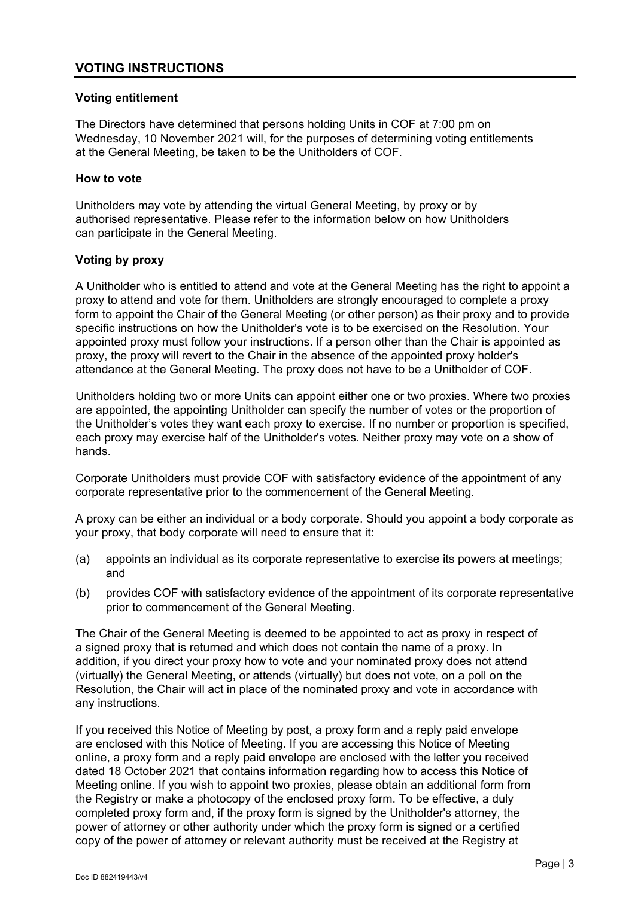#### **VOTING INSTRUCTIONS**

#### **Voting entitlement**

The Directors have determined that persons holding Units in COF at 7:00 pm on Wednesday, 10 November 2021 will, for the purposes of determining voting entitlements at the General Meeting, be taken to be the Unitholders of COF.

#### **How to vote**

Unitholders may vote by attending the virtual General Meeting, by proxy or by authorised representative. Please refer to the information below on how Unitholders can participate in the General Meeting.

#### **Voting by proxy**

A Unitholder who is entitled to attend and vote at the General Meeting has the right to appoint a proxy to attend and vote for them. Unitholders are strongly encouraged to complete a proxy form to appoint the Chair of the General Meeting (or other person) as their proxy and to provide specific instructions on how the Unitholder's vote is to be exercised on the Resolution. Your appointed proxy must follow your instructions. If a person other than the Chair is appointed as proxy, the proxy will revert to the Chair in the absence of the appointed proxy holder's attendance at the General Meeting. The proxy does not have to be a Unitholder of COF.

Unitholders holding two or more Units can appoint either one or two proxies. Where two proxies are appointed, the appointing Unitholder can specify the number of votes or the proportion of the Unitholder's votes they want each proxy to exercise. If no number or proportion is specified, each proxy may exercise half of the Unitholder's votes. Neither proxy may vote on a show of hands.

Corporate Unitholders must provide COF with satisfactory evidence of the appointment of any corporate representative prior to the commencement of the General Meeting.

A proxy can be either an individual or a body corporate. Should you appoint a body corporate as your proxy, that body corporate will need to ensure that it:

- (a) appoints an individual as its corporate representative to exercise its powers at meetings; and
- (b) provides COF with satisfactory evidence of the appointment of its corporate representative prior to commencement of the General Meeting.

The Chair of the General Meeting is deemed to be appointed to act as proxy in respect of a signed proxy that is returned and which does not contain the name of a proxy. In addition, if you direct your proxy how to vote and your nominated proxy does not attend (virtually) the General Meeting, or attends (virtually) but does not vote, on a poll on the Resolution, the Chair will act in place of the nominated proxy and vote in accordance with any instructions.

If you received this Notice of Meeting by post, a proxy form and a reply paid envelope are enclosed with this Notice of Meeting. If you are accessing this Notice of Meeting online, a proxy form and a reply paid envelope are enclosed with the letter you received dated 18 October 2021 that contains information regarding how to access this Notice of Meeting online. If you wish to appoint two proxies, please obtain an additional form from the Registry or make a photocopy of the enclosed proxy form. To be effective, a duly completed proxy form and, if the proxy form is signed by the Unitholder's attorney, the power of attorney or other authority under which the proxy form is signed or a certified copy of the power of attorney or relevant authority must be received at the Registry at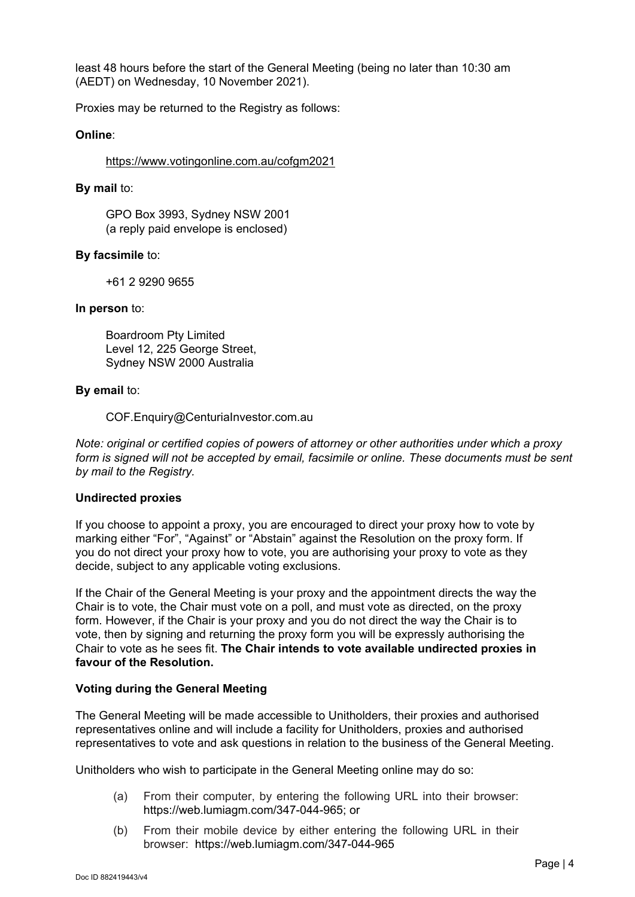least 48 hours before the start of the General Meeting (being no later than 10:30 am (AEDT) on Wednesday, 10 November 2021).

Proxies may be returned to the Registry as follows:

#### **Online**:

[https://www.votingonline.com.au/cofgm2021](https://protect-au.mimecast.com/s/bh21C2xZVvi66Bq1HnKrRi?domain=votingonline.com.au)

#### **By mail** to:

GPO Box 3993, Sydney NSW 2001 (a reply paid envelope is enclosed)

#### **By facsimile** to:

+61 2 9290 9655

#### **In person** to:

Boardroom Pty Limited Level 12, 225 George Street, Sydney NSW 2000 Australia

#### **By email** to:

COF*.*Enquiry@CenturiaInvestor.com.au

*Note: original or certified copies of powers of attorney or other authorities under which a proxy*  form is signed will not be accepted by email, facsimile or online. These documents must be sent *by mail to the Registry.*

#### **Undirected proxies**

If you choose to appoint a proxy, you are encouraged to direct your proxy how to vote by marking either "For", "Against" or "Abstain" against the Resolution on the proxy form. If you do not direct your proxy how to vote, you are authorising your proxy to vote as they decide, subject to any applicable voting exclusions.

If the Chair of the General Meeting is your proxy and the appointment directs the way the Chair is to vote, the Chair must vote on a poll, and must vote as directed, on the proxy form. However, if the Chair is your proxy and you do not direct the way the Chair is to vote, then by signing and returning the proxy form you will be expressly authorising the Chair to vote as he sees fit. **The Chair intends to vote available undirected proxies in favour of the Resolution.**

#### **Voting during the General Meeting**

The General Meeting will be made accessible to Unitholders, their proxies and authorised representatives online and will include a facility for Unitholders, proxies and authorised representatives to vote and ask questions in relation to the business of the General Meeting.

Unitholders who wish to participate in the General Meeting online may do so:

- (a) From their computer, by entering the following URL into their browser: [https://web.lumiagm.com/347-044-965;](https://protect-au.mimecast.com/s/oYGBCL7r48SXRRP8UB4iPW?domain=web.lumiagm.com) or
- (b) From their mobile device by either entering the following URL in their browser: [https://web.lumiagm.com/347-044-965](https://web.lumiagm.com/350945437)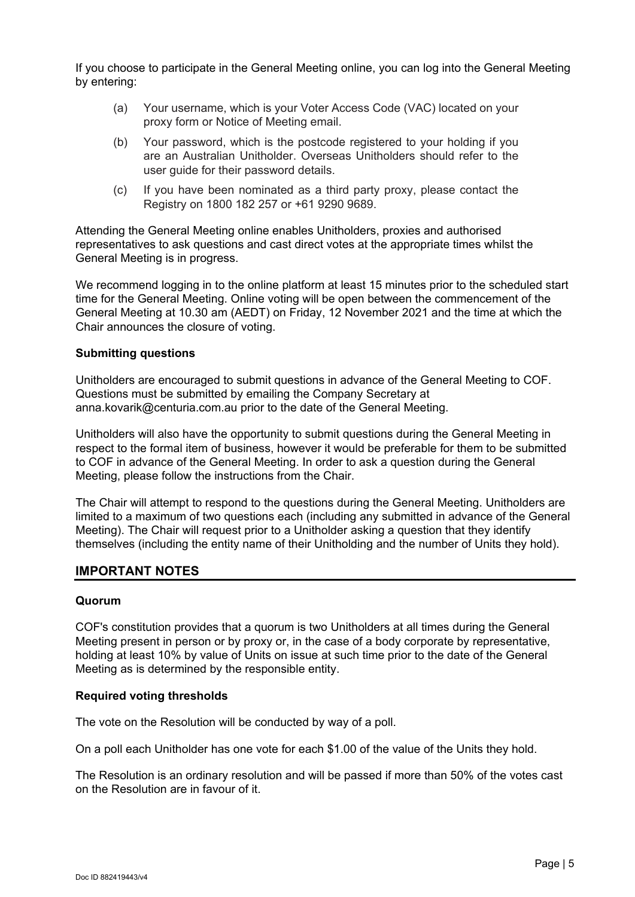If you choose to participate in the General Meeting online, you can log into the General Meeting by entering:

- (a) Your username, which is your Voter Access Code (VAC) located on your proxy form or Notice of Meeting email.
- (b) Your password, which is the postcode registered to your holding if you are an Australian Unitholder. Overseas Unitholders should refer to the user guide for their password details.
- (c) If you have been nominated as a third party proxy, please contact the Registry on 1800 182 257 or +61 9290 9689.

Attending the General Meeting online enables Unitholders, proxies and authorised representatives to ask questions and cast direct votes at the appropriate times whilst the General Meeting is in progress.

We recommend logging in to the online platform at least 15 minutes prior to the scheduled start time for the General Meeting. Online voting will be open between the commencement of the General Meeting at 10.30 am (AEDT) on Friday, 12 November 2021 and the time at which the Chair announces the closure of voting.

#### **Submitting questions**

Unitholders are encouraged to submit questions in advance of the General Meeting to COF. Questions must be submitted by emailing the Company Secretary at [anna.kovarik@centuria.com.au p](mailto:anna.kovarik@centuria.com.au)rior to the date of the General Meeting.

Unitholders will also have the opportunity to submit questions during the General Meeting in respect to the formal item of business, however it would be preferable for them to be submitted to COF in advance of the General Meeting. In order to ask a question during the General Meeting, please follow the instructions from the Chair.

The Chair will attempt to respond to the questions during the General Meeting. Unitholders are limited to a maximum of two questions each (including any submitted in advance of the General Meeting). The Chair will request prior to a Unitholder asking a question that they identify themselves (including the entity name of their Unitholding and the number of Units they hold).

#### **IMPORTANT NOTES**

#### **Quorum**

COF's constitution provides that a quorum is two Unitholders at all times during the General Meeting present in person or by proxy or, in the case of a body corporate by representative, holding at least 10% by value of Units on issue at such time prior to the date of the General Meeting as is determined by the responsible entity.

#### **Required voting thresholds**

The vote on the Resolution will be conducted by way of a poll.

On a poll each Unitholder has one vote for each \$1.00 of the value of the Units they hold.

The Resolution is an ordinary resolution and will be passed if more than 50% of the votes cast on the Resolution are in favour of it.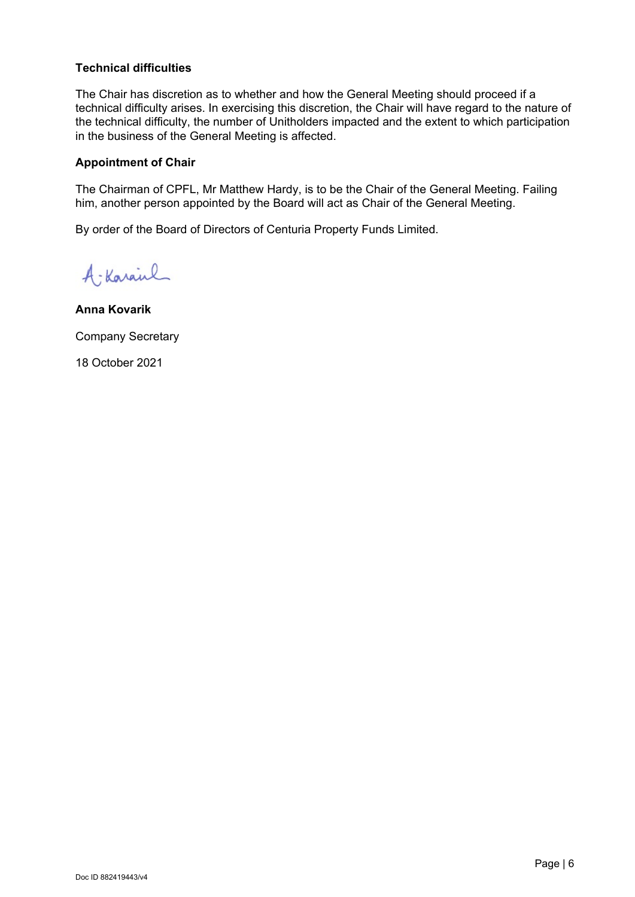#### **Technical difficulties**

The Chair has discretion as to whether and how the General Meeting should proceed if a technical difficulty arises. In exercising this discretion, the Chair will have regard to the nature of the technical difficulty, the number of Unitholders impacted and the extent to which participation in the business of the General Meeting is affected.

#### **Appointment of Chair**

The Chairman of CPFL, Mr Matthew Hardy, is to be the Chair of the General Meeting. Failing him, another person appointed by the Board will act as Chair of the General Meeting.

By order of the Board of Directors of Centuria Property Funds Limited.

A-Karainl

**Anna Kovarik**

Company Secretary

18 October 2021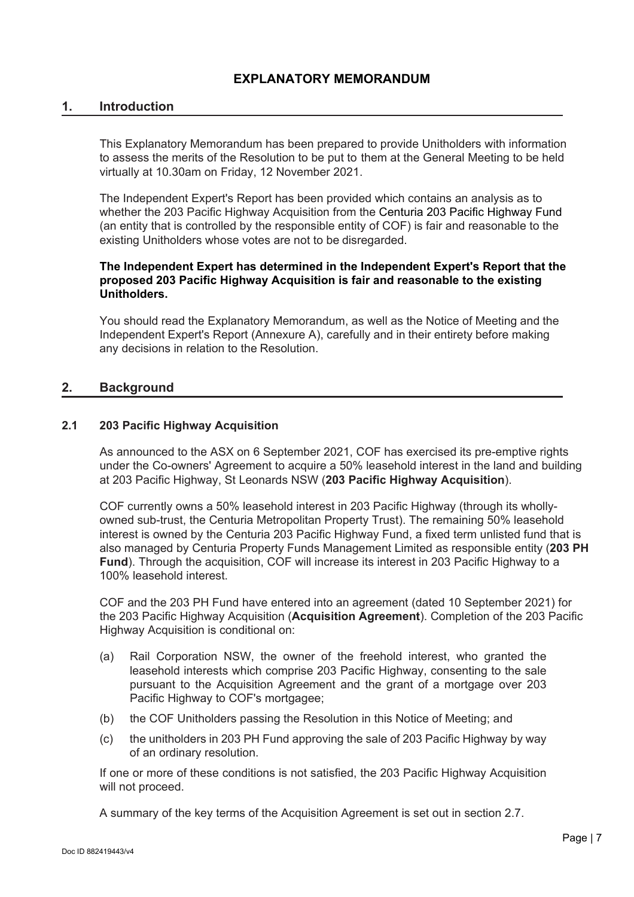#### **1. Introduction**

This Explanatory Memorandum has been prepared to provide Unitholders with information to assess the merits of the Resolution to be put to them at the General Meeting to be held virtually at 10.30am on Friday, 12 November 2021.

The Independent Expert's Report has been provided which contains an analysis as to whether the 203 Pacific Highway Acquisition from the Centuria 203 Pacific Highway Fund (an entity that is controlled by the responsible entity of COF) is fair and reasonable to the existing Unitholders whose votes are not to be disregarded.

#### **The Independent Expert has determined in the Independent Expert's Report that the proposed 203 Pacific Highway Acquisition is fair and reasonable to the existing Unitholders.**

You should read the Explanatory Memorandum, as well as the Notice of Meeting and the Independent Expert's Report (Annexure A), carefully and in their entirety before making any decisions in relation to the Resolution.

#### **2. Background**

#### <span id="page-6-0"></span>**2.1 203 Pacific Highway Acquisition**

As announced to the ASX on 6 September 2021, COF has exercised its pre-emptive rights under the Co-owners' Agreement to acquire a 50% leasehold interest in the land and building at 203 Pacific Highway, St Leonards NSW (**203 Pacific Highway Acquisition**).

COF currently owns a 50% leasehold interest in 203 Pacific Highway (through its whollyowned sub-trust, the Centuria Metropolitan Property Trust). The remaining 50% leasehold interest is owned by the Centuria 203 Pacific Highway Fund, a fixed term unlisted fund that is also managed by Centuria Property Funds Management Limited as responsible entity (**203 PH Fund**). Through the acquisition, COF will increase its interest in 203 Pacific Highway to a 100% leasehold interest.

COF and the 203 PH Fund have entered into an agreement (dated 10 September 2021) for the 203 Pacific Highway Acquisition (**Acquisition Agreement**). Completion of the 203 Pacific Highway Acquisition is conditional on:

- (a) Rail Corporation NSW, the owner of the freehold interest, who granted the leasehold interests which comprise 203 Pacific Highway, consenting to the sale pursuant to the Acquisition Agreement and the grant of a mortgage over 203 Pacific Highway to COF's mortgagee;
- (b) the COF Unitholders passing the Resolution in this Notice of Meeting; and
- (c) the unitholders in 203 PH Fund approving the sale of 203 Pacific Highway by way of an ordinary resolution.

If one or more of these conditions is not satisfied, the 203 Pacific Highway Acquisition will not proceed.

A summary of the key terms of the Acquisition Agreement is set out in section [2.7.](#page-9-0)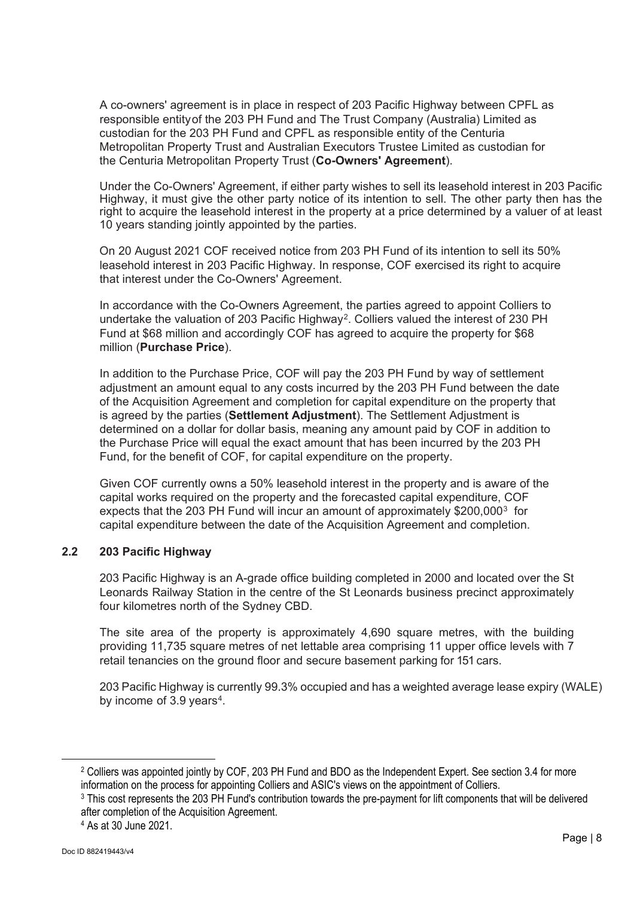A co-owners' agreement is in place in respect of 203 Pacific Highway between CPFL as responsible entityof the 203 PH Fund and The Trust Company (Australia) Limited as custodian for the 203 PH Fund and CPFL as responsible entity of the Centuria Metropolitan Property Trust and Australian Executors Trustee Limited as custodian for the Centuria Metropolitan Property Trust (**Co-Owners' Agreement**).

Under the Co-Owners' Agreement, if either party wishes to sell its leasehold interest in 203 Pacific Highway, it must give the other party notice of its intention to sell. The other party then has the right to acquire the leasehold interest in the property at a price determined by a valuer of at least 10 years standing jointly appointed by the parties.

On 20 August 2021 COF received notice from 203 PH Fund of its intention to sell its 50% leasehold interest in 203 Pacific Highway. In response, COF exercised its right to acquire that interest under the Co-Owners' Agreement.

In accordance with the Co-Owners Agreement, the parties agreed to appoint Colliers to undertake the valuation of [2](#page-7-0)03 Pacific Highway<sup>2</sup>. Colliers valued the interest of 230 PH Fund at \$68 million and accordingly COF has agreed to acquire the property for \$68 million (**Purchase Price**).

In addition to the Purchase Price, COF will pay the 203 PH Fund by way of settlement adjustment an amount equal to any costs incurred by the 203 PH Fund between the date of the Acquisition Agreement and completion for capital expenditure on the property that is agreed by the parties (**Settlement Adjustment**). The Settlement Adjustment is determined on a dollar for dollar basis, meaning any amount paid by COF in addition to the Purchase Price will equal the exact amount that has been incurred by the 203 PH Fund, for the benefit of COF, for capital expenditure on the property.

Given COF currently owns a 50% leasehold interest in the property and is aware of the capital works required on the property and the forecasted capital expenditure, COF expects that the 20[3](#page-7-1) PH Fund will incur an amount of approximately \$200,000<sup>3</sup> for capital expenditure between the date of the Acquisition Agreement and completion.

#### **2.2 203 Pacific Highway**

203 Pacific Highway is an A-grade office building completed in 2000 and located over the St Leonards Railway Station in the centre of the St Leonards business precinct approximately four kilometres north of the Sydney CBD.

The site area of the property is approximately 4,690 square metres, with the building providing 11,735 square metres of net lettable area comprising 11 upper office levels with 7 retail tenancies on the ground floor and secure basement parking for 151 cars.

203 Pacific Highway is currently 99.3% occupied and has a weighted average lease expiry (WALE) by income of 3.9 years<sup>[4](#page-7-2)</sup>.

<span id="page-7-0"></span><sup>2</sup> Colliers was appointed jointly by COF, 203 PH Fund and BDO as the Independent Expert. See section [3.4](#page-11-0) for more information on the process for appointing Colliers and ASIC's views on the appointment of Colliers.

<span id="page-7-1"></span><sup>3</sup> This cost represents the 203 PH Fund's contribution towards the pre-payment for lift components that will be delivered after completion of the Acquisition Agreement.

<span id="page-7-2"></span><sup>4</sup> As at 30 June 2021.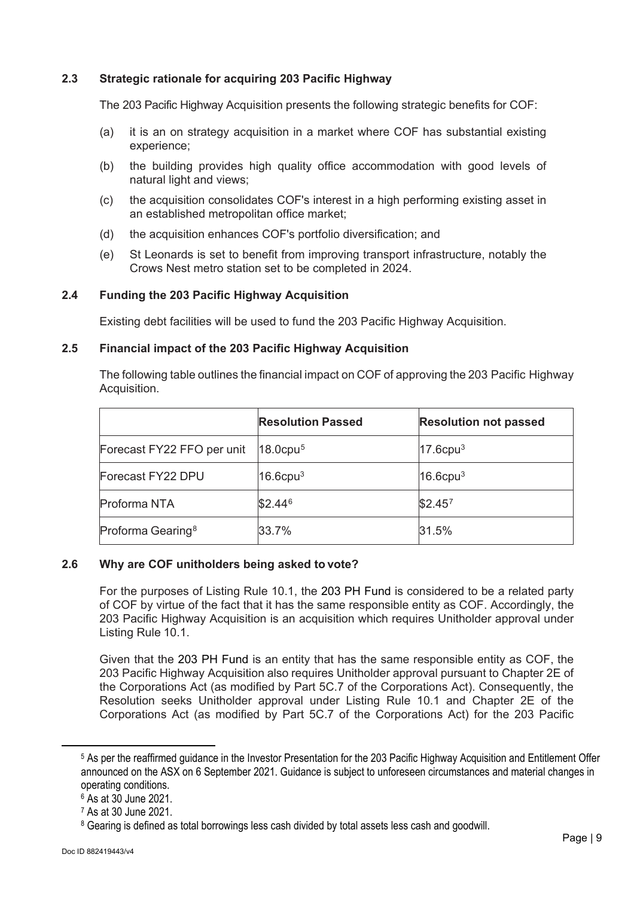#### **2.3 Strategic rationale for acquiring 203 Pacific Highway**

The 203 Pacific Highway Acquisition presents the following strategic benefits for COF:

- (a) it is an on strategy acquisition in a market where COF has substantial existing experience;
- (b) the building provides high quality office accommodation with good levels of natural light and views;
- (c) the acquisition consolidates COF's interest in a high performing existing asset in an established metropolitan office market;
- (d) the acquisition enhances COF's portfolio diversification; and
- (e) St Leonards is set to benefit from improving transport infrastructure, notably the Crows Nest metro station set to be completed in 2024.

#### **2.4 Funding the 203 Pacific Highway Acquisition**

Existing debt facilities will be used to fund the 203 Pacific Highway Acquisition.

#### <span id="page-8-4"></span>**2.5 Financial impact of the 203 Pacific Highway Acquisition**

The following table outlines the financial impact on COF of approving the 203 Pacific Highway Acquisition.

|                               | <b>Resolution Passed</b> | <b>Resolution not passed</b> |
|-------------------------------|--------------------------|------------------------------|
| Forecast FY22 FFO per unit    | $18.0$ cpu <sup>5</sup>  | $17.6$ cpu <sup>3</sup>      |
| Forecast FY22 DPU             | $16.6$ cpu <sup>3</sup>  | $16.6$ cpu <sup>3</sup>      |
| Proforma NTA                  | $$2.44^6$                | \$2.45 <sup>7</sup>          |
| Proforma Gearing <sup>8</sup> | 33.7%                    | 31.5%                        |

#### **2.6 Why are COF unitholders being asked to vote?**

For the purposes of Listing Rule 10.1, the 203 PH Fund is considered to be a related party of COF by virtue of the fact that it has the same responsible entity as COF. Accordingly, the 203 Pacific Highway Acquisition is an acquisition which requires Unitholder approval under Listing Rule 10.1.

Given that the 203 PH Fund is an entity that has the same responsible entity as COF, the 203 Pacific Highway Acquisition also requires Unitholder approval pursuant to Chapter 2E of the Corporations Act (as modified by Part 5C.7 of the Corporations Act). Consequently, the Resolution seeks Unitholder approval under Listing Rule 10.1 and Chapter 2E of the Corporations Act (as modified by Part 5C.7 of the Corporations Act) for the 203 Pacific

<span id="page-8-0"></span><sup>5</sup> As per the reaffirmed guidance in the Investor Presentation for the 203 Pacific Highway Acquisition and Entitlement Offer announced on the ASX on 6 September 2021. Guidance is subject to unforeseen circumstances and material changes in operating conditions.

<span id="page-8-1"></span><sup>6</sup> As at 30 June 2021.

<span id="page-8-2"></span><sup>7</sup> As at 30 June 2021.

<span id="page-8-3"></span><sup>&</sup>lt;sup>8</sup> Gearing is defined as total borrowings less cash divided by total assets less cash and goodwill.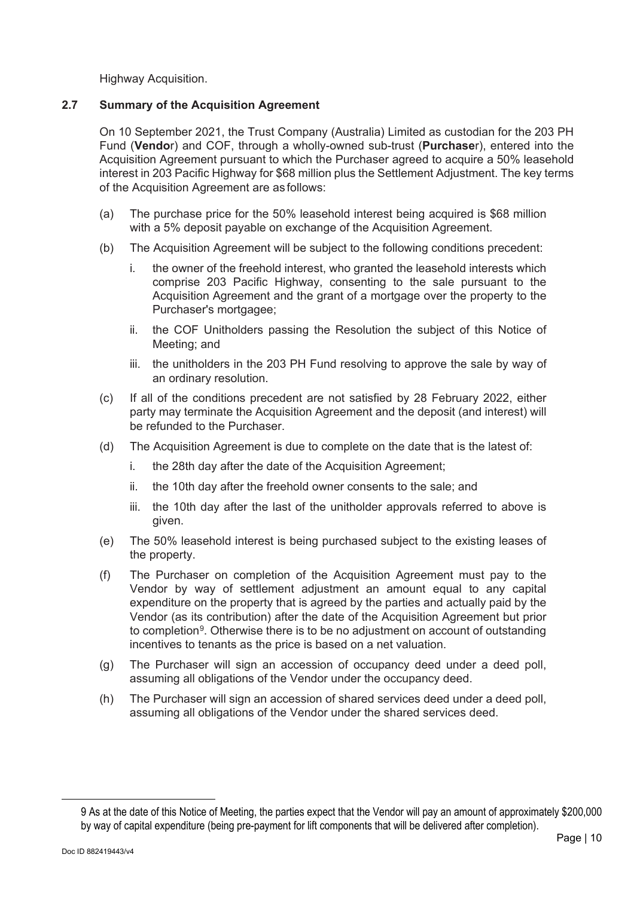Highway Acquisition.

#### <span id="page-9-0"></span>**2.7 Summary of the Acquisition Agreement**

On 10 September 2021, the Trust Company (Australia) Limited as custodian for the 203 PH Fund (**Vendo**r) and COF, through a wholly-owned sub-trust (**Purchase**r), entered into the Acquisition Agreement pursuant to which the Purchaser agreed to acquire a 50% leasehold interest in 203 Pacific Highway for \$68 million plus the Settlement Adjustment. The key terms of the Acquisition Agreement are as follows:

- (a) The purchase price for the 50% leasehold interest being acquired is \$68 million with a 5% deposit payable on exchange of the Acquisition Agreement.
- (b) The Acquisition Agreement will be subject to the following conditions precedent:
	- i. the owner of the freehold interest, who granted the leasehold interests which comprise 203 Pacific Highway, consenting to the sale pursuant to the Acquisition Agreement and the grant of a mortgage over the property to the Purchaser's mortgagee;
	- ii. the COF Unitholders passing the Resolution the subject of this Notice of Meeting; and
	- iii. the unitholders in the 203 PH Fund resolving to approve the sale by way of an ordinary resolution.
- (c) If all of the conditions precedent are not satisfied by 28 February 2022, either party may terminate the Acquisition Agreement and the deposit (and interest) will be refunded to the Purchaser.
- (d) The Acquisition Agreement is due to complete on the date that is the latest of:
	- i. the 28th day after the date of the Acquisition Agreement;
	- ii. the 10th day after the freehold owner consents to the sale; and
	- iii. the 10th day after the last of the unitholder approvals referred to above is given.
- (e) The 50% leasehold interest is being purchased subject to the existing leases of the property.
- (f) The Purchaser on completion of the Acquisition Agreement must pay to the Vendor by way of settlement adjustment an amount equal to any capital expenditure on the property that is agreed by the parties and actually paid by the Vendor (as its contribution) after the date of the Acquisition Agreement but prior to completion<sup>[9](#page-9-1)</sup>. Otherwise there is to be no adjustment on account of outstanding incentives to tenants as the price is based on a net valuation.
- (g) The Purchaser will sign an accession of occupancy deed under a deed poll, assuming all obligations of the Vendor under the occupancy deed.
- (h) The Purchaser will sign an accession of shared services deed under a deed poll, assuming all obligations of the Vendor under the shared services deed.

<span id="page-9-1"></span><sup>9</sup> As at the date of this Notice of Meeting, the parties expect that the Vendor will pay an amount of approximately \$200,000 by way of capital expenditure (being pre-payment for lift components that will be delivered after completion).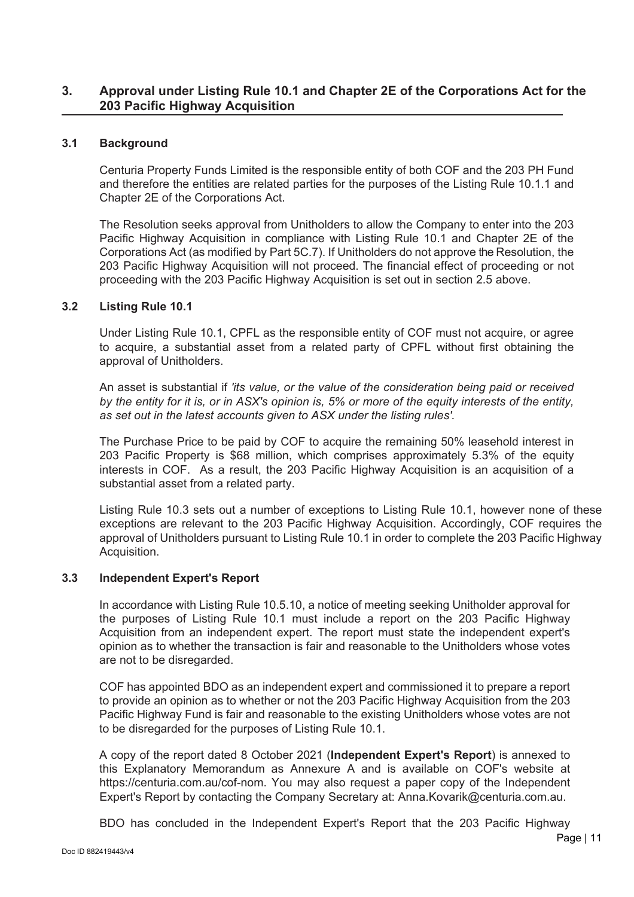#### **3. Approval under Listing Rule 10.1 and Chapter 2E of the Corporations Act for the 203 Pacific Highway Acquisition**

#### **3.1 Background**

Centuria Property Funds Limited is the responsible entity of both COF and the 203 PH Fund and therefore the entities are related parties for the purposes of the Listing Rule 10.1.1 and Chapter 2E of the Corporations Act.

The Resolution seeks approval from Unitholders to allow the Company to enter into the 203 Pacific Highway Acquisition in compliance with Listing Rule 10.1 and Chapter 2E of the Corporations Act (as modified by Part 5C.7). If Unitholders do not approve the Resolution, the 203 Pacific Highway Acquisition will not proceed. The financial effect of proceeding or not proceeding with the 203 Pacific Highway Acquisition is set out in section [2.5](#page-8-4) above.

#### **3.2 Listing Rule 10.1**

Under Listing Rule 10.1, CPFL as the responsible entity of COF must not acquire, or agree to acquire, a substantial asset from a related party of CPFL without first obtaining the approval of Unitholders.

An asset is substantial if *'its value, or the value of the consideration being paid or received by the entity for it is, or in ASX's opinion is, 5% or more of the equity interests of the entity, as set out in the latest accounts given to ASX under the listing rules'.* 

The Purchase Price to be paid by COF to acquire the remaining 50% leasehold interest in 203 Pacific Property is \$68 million, which comprises approximately 5.3% of the equity interests in COF. As a result, the 203 Pacific Highway Acquisition is an acquisition of a substantial asset from a related party.

Listing Rule 10.3 sets out a number of exceptions to Listing Rule 10.1, however none of these exceptions are relevant to the 203 Pacific Highway Acquisition. Accordingly, COF requires the approval of Unitholders pursuant to Listing Rule 10.1 in order to complete the 203 Pacific Highway Acquisition.

#### <span id="page-10-0"></span>**3.3 Independent Expert's Report**

In accordance with Listing Rule 10.5.10, a notice of meeting seeking Unitholder approval for the purposes of Listing Rule 10.1 must include a report on the 203 Pacific Highway Acquisition from an independent expert. The report must state the independent expert's opinion as to whether the transaction is fair and reasonable to the Unitholders whose votes are not to be disregarded.

COF has appointed BDO as an independent expert and commissioned it to prepare a report to provide an opinion as to whether or not the 203 Pacific Highway Acquisition from the 203 Pacific Highway Fund is fair and reasonable to the existing Unitholders whose votes are not to be disregarded for the purposes of Listing Rule 10.1.

A copy of the report dated 8 October 2021 (**Independent Expert's Report**) is annexed to this Explanatory Memorandum as Annexure A and is available on COF's website at [https://centuria.com.au/cof-nom.](https://protect-au.mimecast.com/s/f8eJC5QZY9UR3G89fzd2_Z?domain=centuria.com.au) You may also request a paper copy of the Independent Expert's Report by contacting the Company Secretary at: [Anna.Kovarik@centuria.com.au.](mailto:Anna.Kovarik@centuria.com.au)

BDO has concluded in the Independent Expert's Report that the 203 Pacific Highway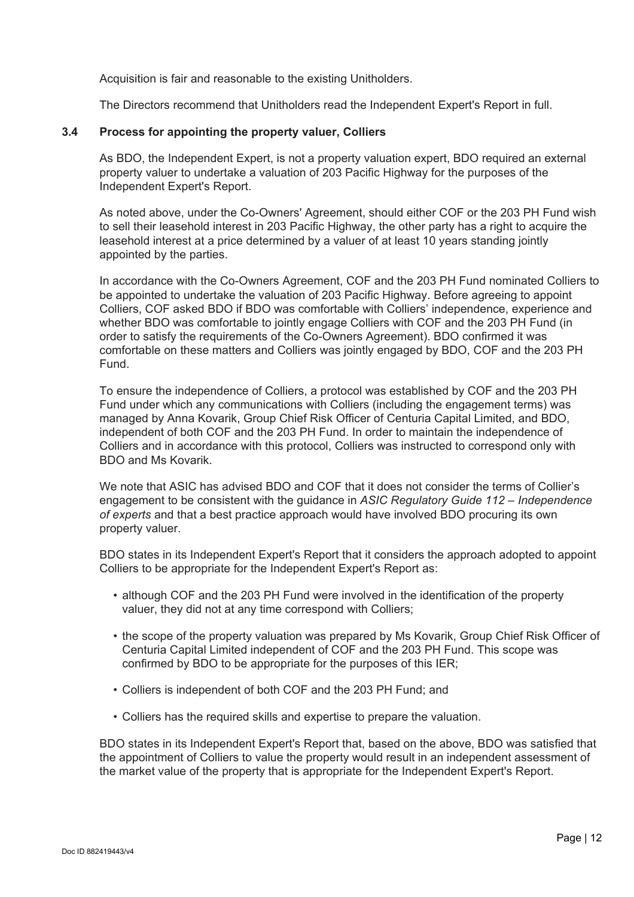Acquisition is fair and reasonable to the existing Unitholders.

The Directors recommend that Unitholders read the Independent Expert's Report in full.

#### <span id="page-11-0"></span>**3.4 Process for appointing the property valuer, Colliers**

As BDO, the Independent Expert, is not a property valuation expert, BDO required an external property valuer to undertake a valuation of 203 Pacific Highway for the purposes of the Independent Expert's Report.

As noted above, under the Co-Owners' Agreement, should either COF or the 203 PH Fund wish to sell their leasehold interest in 203 Pacific Highway, the other party has a right to acquire the leasehold interest at a price determined by a valuer of at least 10 years standing jointly appointed by the parties.

In accordance with the Co-Owners Agreement, COF and the 203 PH Fund nominated Colliers to be appointed to undertake the valuation of 203 Pacific Highway. Before agreeing to appoint Colliers, COF asked BDO if BDO was comfortable with Colliers' independence, experience and whether BDO was comfortable to jointly engage Colliers with COF and the 203 PH Fund (in order to satisfy the requirements of the Co-Owners Agreement). BDO confirmed it was comfortable on these matters and Colliers was jointly engaged by BDO, COF and the 203 PH Fund.

To ensure the independence of Colliers, a protocol was established by COF and the 203 PH Fund under which any communications with Colliers (including the engagement terms) was managed by Anna Kovarik, Group Chief Risk Officer of Centuria Capital Limited, and BDO, independent of both COF and the 203 PH Fund. In order to maintain the independence of Colliers and in accordance with this protocol, Colliers was instructed to correspond only with BDO and Ms Kovarik.

We note that ASIC has advised BDO and COF that it does not consider the terms of Collier's engagement to be consistent with the guidance in *ASIC Regulatory Guide 112 – Independence of experts* and that a best practice approach would have involved BDO procuring its own property valuer.

BDO states in its Independent Expert's Report that it considers the approach adopted to appoint Colliers to be appropriate for the Independent Expert's Report as:

- although COF and the 203 PH Fund were involved in the identification of the property valuer, they did not at any time correspond with Colliers;
- the scope of the property valuation was prepared by Ms Kovarik, Group Chief Risk Officer of Centuria Capital Limited independent of COF and the 203 PH Fund. This scope was confirmed by BDO to be appropriate for the purposes of this IER;
- Colliers is independent of both COF and the 203 PH Fund; and
- Colliers has the required skills and expertise to prepare the valuation.

BDO states in its Independent Expert's Report that, based on the above, BDO was satisfied that the appointment of Colliers to value the property would result in an independent assessment of the market value of the property that is appropriate for the Independent Expert's Report.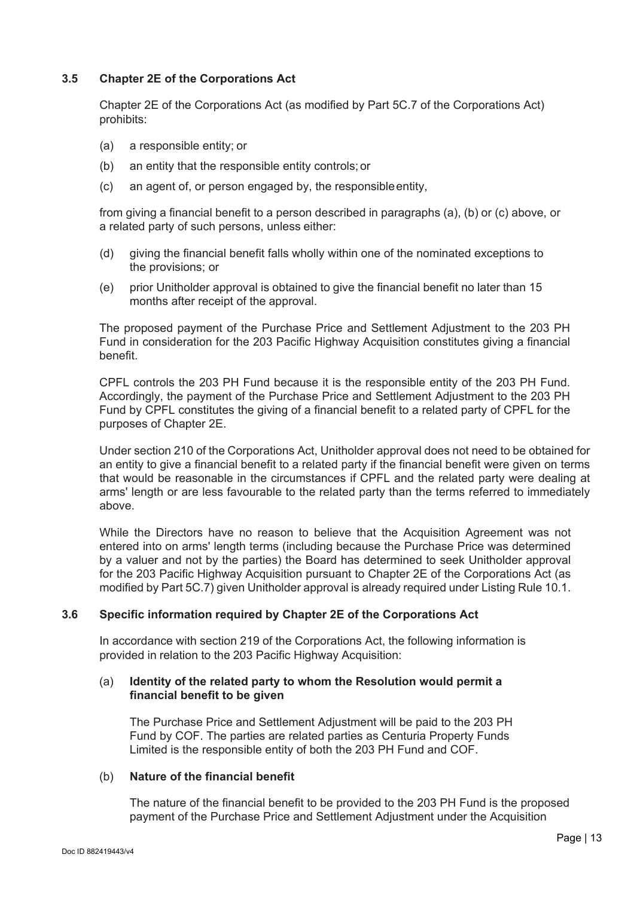#### **3.5 Chapter 2E of the Corporations Act**

Chapter 2E of the Corporations Act (as modified by Part 5C.7 of the Corporations Act) prohibits:

- (a) a responsible entity; or
- (b) an entity that the responsible entity controls; or
- (c) an agent of, or person engaged by, the responsibleentity,

from giving a financial benefit to a person described in paragraphs (a), (b) or (c) above, or a related party of such persons, unless either:

- (d) giving the financial benefit falls wholly within one of the nominated exceptions to the provisions; or
- (e) prior Unitholder approval is obtained to give the financial benefit no later than 15 months after receipt of the approval.

The proposed payment of the Purchase Price and Settlement Adjustment to the 203 PH Fund in consideration for the 203 Pacific Highway Acquisition constitutes giving a financial benefit.

CPFL controls the 203 PH Fund because it is the responsible entity of the 203 PH Fund. Accordingly, the payment of the Purchase Price and Settlement Adjustment to the 203 PH Fund by CPFL constitutes the giving of a financial benefit to a related party of CPFL for the purposes of Chapter 2E.

Under section 210 of the Corporations Act, Unitholder approval does not need to be obtained for an entity to give a financial benefit to a related party if the financial benefit were given on terms that would be reasonable in the circumstances if CPFL and the related party were dealing at arms' length or are less favourable to the related party than the terms referred to immediately above.

While the Directors have no reason to believe that the Acquisition Agreement was not entered into on arms' length terms (including because the Purchase Price was determined by a valuer and not by the parties) the Board has determined to seek Unitholder approval for the 203 Pacific Highway Acquisition pursuant to Chapter 2E of the Corporations Act (as modified by Part 5C.7) given Unitholder approval is already required under Listing Rule 10.1.

#### **3.6 Specific information required by Chapter 2E of the Corporations Act**

In accordance with section 219 of the Corporations Act, the following information is provided in relation to the 203 Pacific Highway Acquisition:

#### (a) **Identity of the related party to whom the Resolution would permit a financial benefit to be given**

The Purchase Price and Settlement Adjustment will be paid to the 203 PH Fund by COF. The parties are related parties as Centuria Property Funds Limited is the responsible entity of both the 203 PH Fund and COF.

#### (b) **Nature of the financial benefit**

The nature of the financial benefit to be provided to the 203 PH Fund is the proposed payment of the Purchase Price and Settlement Adjustment under the Acquisition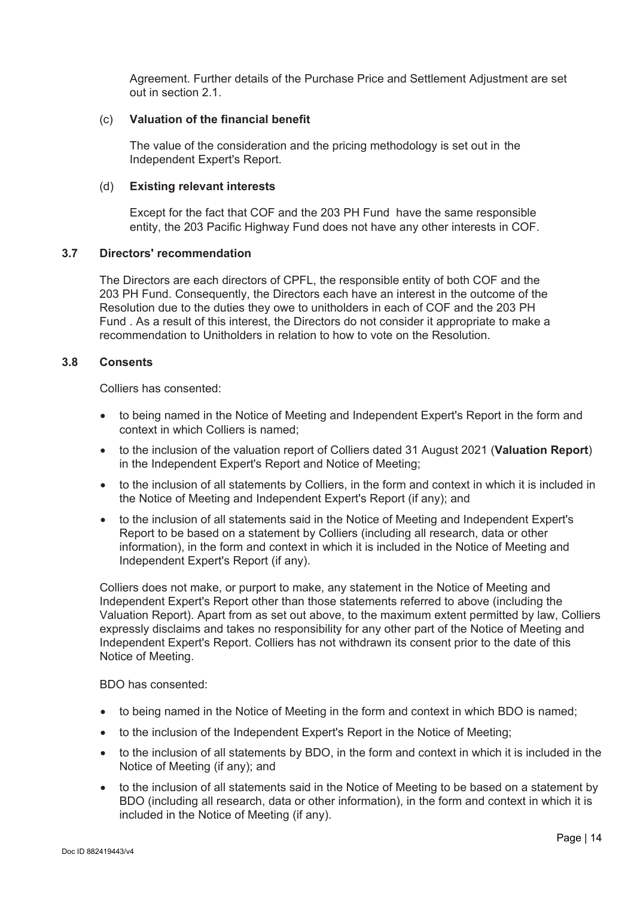Agreement. Further details of the Purchase Price and Settlement Adjustment are set out in section [2.1.](#page-6-0)

#### (c) **Valuation of the financial benefit**

The value of the consideration and the pricing methodology is set out in the Independent Expert's Report.

#### (d) **Existing relevant interests**

Except for the fact that COF and the 203 PH Fund have the same responsible entity, the 203 Pacific Highway Fund does not have any other interests in COF.

#### **3.7 Directors' recommendation**

The Directors are each directors of CPFL, the responsible entity of both COF and the 203 PH Fund. Consequently, the Directors each have an interest in the outcome of the Resolution due to the duties they owe to unitholders in each of COF and the 203 PH Fund . As a result of this interest, the Directors do not consider it appropriate to make a recommendation to Unitholders in relation to how to vote on the Resolution.

#### **3.8 Consents**

Colliers has consented:

- to being named in the Notice of Meeting and Independent Expert's Report in the form and context in which Colliers is named;
- to the inclusion of the valuation report of Colliers dated 31 August 2021 (**Valuation Report**) in the Independent Expert's Report and Notice of Meeting;
- to the inclusion of all statements by Colliers, in the form and context in which it is included in the Notice of Meeting and Independent Expert's Report (if any); and
- to the inclusion of all statements said in the Notice of Meeting and Independent Expert's Report to be based on a statement by Colliers (including all research, data or other information), in the form and context in which it is included in the Notice of Meeting and Independent Expert's Report (if any).

Colliers does not make, or purport to make, any statement in the Notice of Meeting and Independent Expert's Report other than those statements referred to above (including the Valuation Report). Apart from as set out above, to the maximum extent permitted by law, Colliers expressly disclaims and takes no responsibility for any other part of the Notice of Meeting and Independent Expert's Report. Colliers has not withdrawn its consent prior to the date of this Notice of Meeting.

BDO has consented:

- to being named in the Notice of Meeting in the form and context in which BDO is named;
- to the inclusion of the Independent Expert's Report in the Notice of Meeting;
- to the inclusion of all statements by BDO, in the form and context in which it is included in the Notice of Meeting (if any); and
- to the inclusion of all statements said in the Notice of Meeting to be based on a statement by BDO (including all research, data or other information), in the form and context in which it is included in the Notice of Meeting (if any).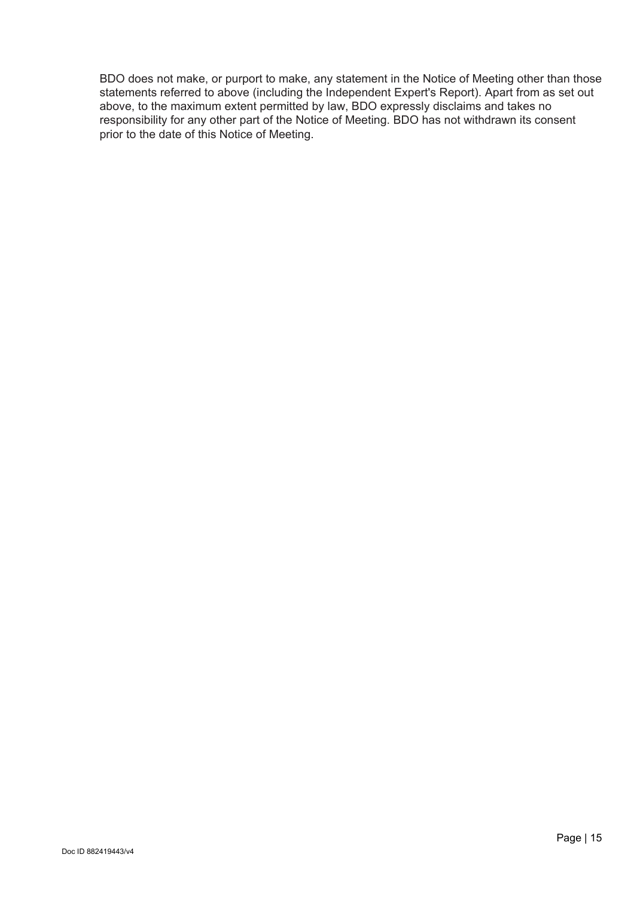BDO does not make, or purport to make, any statement in the Notice of Meeting other than those statements referred to above (including the Independent Expert's Report). Apart from as set out above, to the maximum extent permitted by law, BDO expressly disclaims and takes no responsibility for any other part of the Notice of Meeting. BDO has not withdrawn its consent prior to the date of this Notice of Meeting.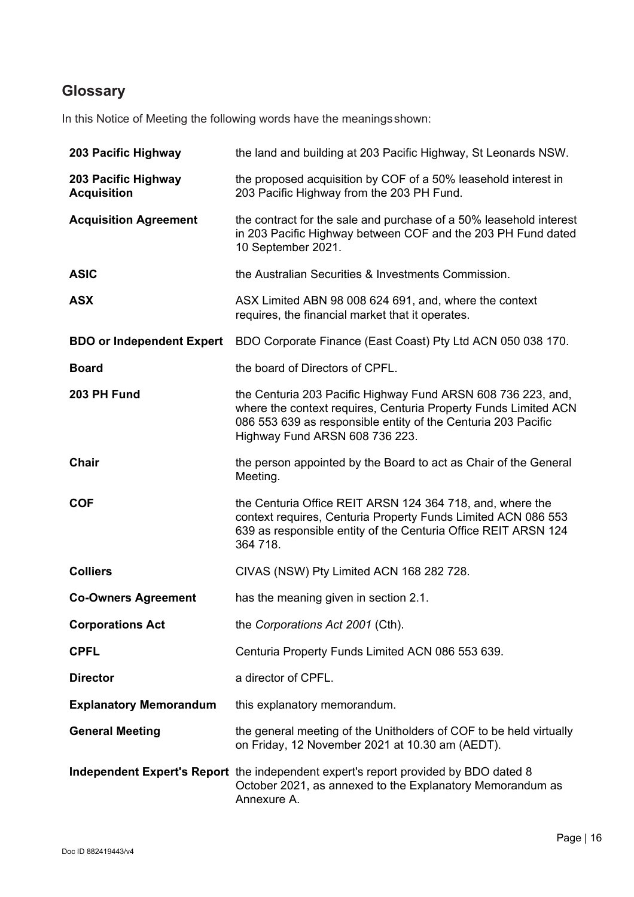## **Glossary**

In this Notice of Meeting the following words have the meanings shown:

| 203 Pacific Highway                       | the land and building at 203 Pacific Highway, St Leonards NSW.                                                                                                                                                                     |
|-------------------------------------------|------------------------------------------------------------------------------------------------------------------------------------------------------------------------------------------------------------------------------------|
| 203 Pacific Highway<br><b>Acquisition</b> | the proposed acquisition by COF of a 50% leasehold interest in<br>203 Pacific Highway from the 203 PH Fund.                                                                                                                        |
| <b>Acquisition Agreement</b>              | the contract for the sale and purchase of a 50% leasehold interest<br>in 203 Pacific Highway between COF and the 203 PH Fund dated<br>10 September 2021.                                                                           |
| <b>ASIC</b>                               | the Australian Securities & Investments Commission.                                                                                                                                                                                |
| <b>ASX</b>                                | ASX Limited ABN 98 008 624 691, and, where the context<br>requires, the financial market that it operates.                                                                                                                         |
| <b>BDO or Independent Expert</b>          | BDO Corporate Finance (East Coast) Pty Ltd ACN 050 038 170.                                                                                                                                                                        |
| <b>Board</b>                              | the board of Directors of CPFL.                                                                                                                                                                                                    |
| 203 PH Fund                               | the Centuria 203 Pacific Highway Fund ARSN 608 736 223, and,<br>where the context requires, Centuria Property Funds Limited ACN<br>086 553 639 as responsible entity of the Centuria 203 Pacific<br>Highway Fund ARSN 608 736 223. |
| <b>Chair</b>                              | the person appointed by the Board to act as Chair of the General<br>Meeting.                                                                                                                                                       |
| <b>COF</b>                                | the Centuria Office REIT ARSN 124 364 718, and, where the<br>context requires, Centuria Property Funds Limited ACN 086 553<br>639 as responsible entity of the Centuria Office REIT ARSN 124<br>364 718.                           |
| <b>Colliers</b>                           | CIVAS (NSW) Pty Limited ACN 168 282 728.                                                                                                                                                                                           |
| <b>Co-Owners Agreement</b>                | has the meaning given in section 2.1.                                                                                                                                                                                              |
| <b>Corporations Act</b>                   | the Corporations Act 2001 (Cth).                                                                                                                                                                                                   |
| <b>CPFL</b>                               | Centuria Property Funds Limited ACN 086 553 639.                                                                                                                                                                                   |
| <b>Director</b>                           | a director of CPFL.                                                                                                                                                                                                                |
| <b>Explanatory Memorandum</b>             | this explanatory memorandum.                                                                                                                                                                                                       |
| <b>General Meeting</b>                    | the general meeting of the Unitholders of COF to be held virtually<br>on Friday, 12 November 2021 at 10.30 am (AEDT).                                                                                                              |
|                                           | Independent Expert's Report the independent expert's report provided by BDO dated 8<br>October 2021, as annexed to the Explanatory Memorandum as<br>Annexure A.                                                                    |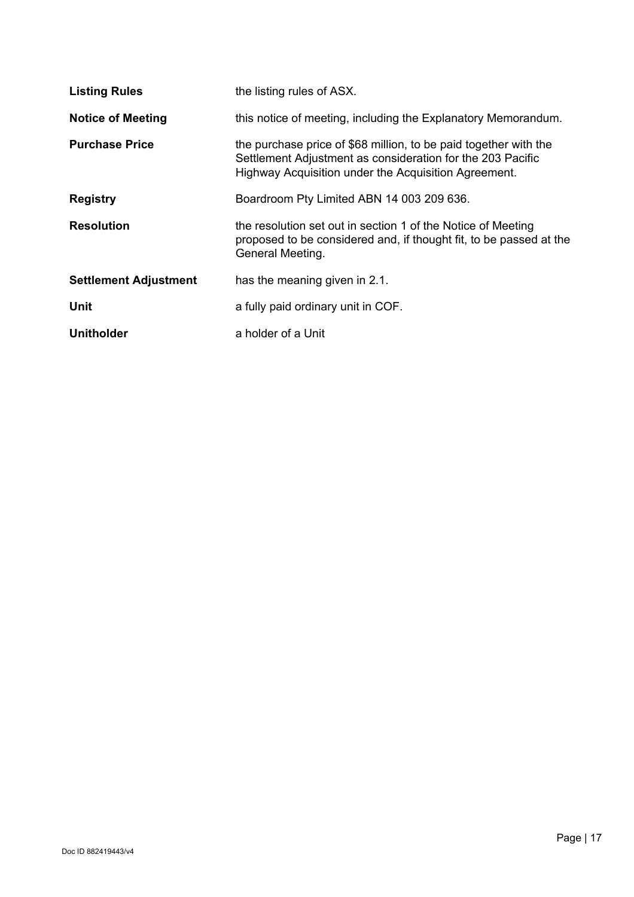| <b>Listing Rules</b>         | the listing rules of ASX.                                                                                                                                                              |
|------------------------------|----------------------------------------------------------------------------------------------------------------------------------------------------------------------------------------|
| <b>Notice of Meeting</b>     | this notice of meeting, including the Explanatory Memorandum.                                                                                                                          |
| <b>Purchase Price</b>        | the purchase price of \$68 million, to be paid together with the<br>Settlement Adjustment as consideration for the 203 Pacific<br>Highway Acquisition under the Acquisition Agreement. |
| <b>Registry</b>              | Boardroom Pty Limited ABN 14 003 209 636.                                                                                                                                              |
| <b>Resolution</b>            | the resolution set out in section 1 of the Notice of Meeting<br>proposed to be considered and, if thought fit, to be passed at the<br>General Meeting.                                 |
| <b>Settlement Adjustment</b> | has the meaning given in 2.1.                                                                                                                                                          |
| <b>Unit</b>                  | a fully paid ordinary unit in COF.                                                                                                                                                     |
| <b>Unitholder</b>            | a holder of a Unit                                                                                                                                                                     |